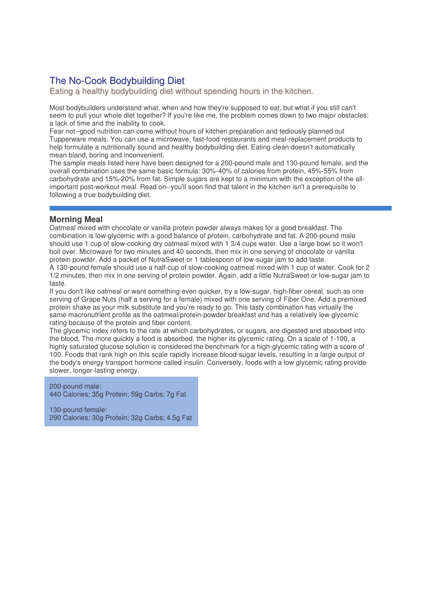# The No-Cook Bodybuilding Diet

Eating a healthy bodybuilding diet without spending hours in the kitchen.

Most bodybuilders understand what, when and how they're supposed to eat, but what if you still can't seem to pull your whole diet together? If you're like me, the problem comes down to two major obstacles: a lack of time and the inability to cook.

Fear not--good nutrition can come without hours of kitchen preparation and tediously planned out Tupperware meals. You can use a microwave, fast-food restaurants and meal-replacement products to help formulate a nutritionally sound and healthy bodybuilding diet. Eating clean doesn't automatically mean bland, boring and inconvenient.

The sample meals listed here have been designed for a 200-pound male and 130-pound female, and the overall combination uses the same basic formula: 30%-40% of calories from protein, 45%-55% from carbohydrate and 15%-20% from fat. Simple sugars are kept to a minimum with the exception of the allimportant post-workout meal. Read on--you'll soon find that talent in the kitchen isn't a prerequisite to following a true bodybuilding diet.

## **Morning Meal**

Oatmeal mixed with chocolate or vanilla protein powder always makes for a good breakfast. The combination is low-glycemic with a good balance of protein, carbohydrate and fat. A 200-pound male should use 1 cup of slow-cooking dry oatmeal mixed with 1 3/4 cups water. Use a large bowl so it won't boil over. Microwave for two minutes and 40 seconds, then mix in one serving of chocolate or vanilla protein powder. Add a packet of NutraSweet or 1 tablespoon of low-sugar jam to add taste.

A 130-pound female should use a half-cup of slow-cooking oatmeal mixed with 1 cup of water. Cook for 2 1/2 minutes, then mix in one serving of protein powder. Again, add a little NutraSweet or low-sugar jam to taste.

If you don't like oatmeal or want something even quicker, try a low-sugar, high-fiber cereal, such as one serving of Grape Nuts (half a serving for a female) mixed with one serving of Fiber One. Add a premixed protein shake as your milk substitute and you're ready to go. This tasty combination has virtually the same macronutrient profile as the oatmeal/protein-powder breakfast and has a relatively low glycemic rating because of the protein and fiber content.

The glycemic index refers to the rate at which carbohydrates, or sugars, are digested and absorbed into the blood. The more quickly a food is absorbed, the higher its glycemic rating. On a scale of 1-100, a highly saturated glucose solution is considered the benchmark for a high-glycemic rating with a score of 100. Foods that rank high on this scale rapidly increase blood-sugar levels, resulting in a large output of the body's energy transport hormone called insulin. Conversely, foods with a low glycemic rating provide slower, longer-lasting energy.

200-pound male: 440 Calories; 35g Protein; 59g Carbs; 7g Fat

130-pound female: 290 Calories; 30g Protein; 32g Carbs; 4.5g Fat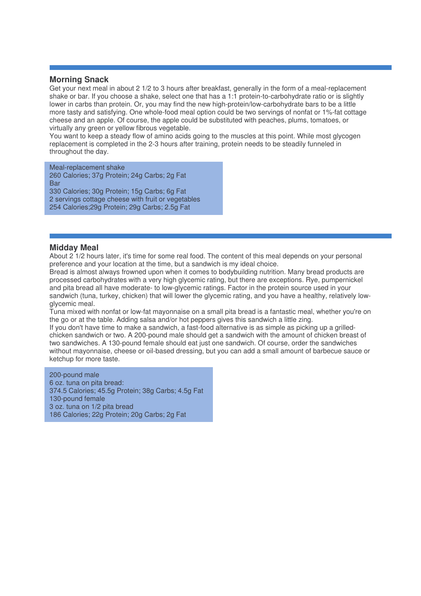#### **Morning Snack**

Get your next meal in about 2 1/2 to 3 hours after breakfast, generally in the form of a meal-replacement shake or bar. If you choose a shake, select one that has a 1:1 protein-to-carbohydrate ratio or is slightly lower in carbs than protein. Or, you may find the new high-protein/low-carbohydrate bars to be a little more tasty and satisfying. One whole-food meal option could be two servings of nonfat or 1%-fat cottage cheese and an apple. Of course, the apple could be substituted with peaches, plums, tomatoes, or virtually any green or yellow fibrous vegetable.

You want to keep a steady flow of amino acids going to the muscles at this point. While most glycogen replacement is completed in the 2-3 hours after training, protein needs to be steadily funneled in throughout the day.

Meal-replacement shake

 Calories; 37g Protein; 24g Carbs; 2g Fat **Bar**  Calories; 30g Protein; 15g Carbs; 6g Fat servings cottage cheese with fruit or vegetables Calories;29g Protein; 29g Carbs; 2.5g Fat

### **Midday Meal**

About 2 1/2 hours later, it's time for some real food. The content of this meal depends on your personal preference and your location at the time, but a sandwich is my ideal choice.

Bread is almost always frowned upon when it comes to bodybuilding nutrition. Many bread products are processed carbohydrates with a very high glycemic rating, but there are exceptions. Rye, pumpernickel and pita bread all have moderate- to low-glycemic ratings. Factor in the protein source used in your sandwich (tuna, turkey, chicken) that will lower the glycemic rating, and you have a healthy, relatively lowglycemic meal.

Tuna mixed with nonfat or low-fat mayonnaise on a small pita bread is a fantastic meal, whether you're on the go or at the table. Adding salsa and/or hot peppers gives this sandwich a little zing.

If you don't have time to make a sandwich, a fast-food alternative is as simple as picking up a grilledchicken sandwich or two. A 200-pound male should get a sandwich with the amount of chicken breast of two sandwiches. A 130-pound female should eat just one sandwich. Of course, order the sandwiches without mayonnaise, cheese or oil-based dressing, but you can add a small amount of barbecue sauce or ketchup for more taste.

200-pound male 6 oz. tuna on pita bread: 374.5 Calories; 45.5g Protein; 38g Carbs; 4.5g Fat 130-pound female 3 oz. tuna on 1/2 pita bread 186 Calories; 22g Protein; 20g Carbs; 2g Fat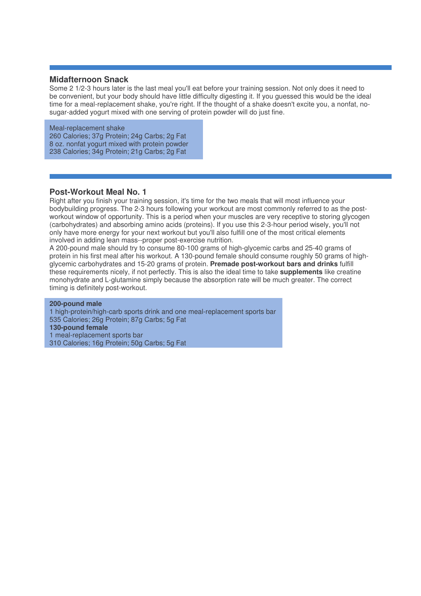#### **Midafternoon Snack**

Some 2 1/2-3 hours later is the last meal you'll eat before your training session. Not only does it need to be convenient, but your body should have little difficulty digesting it. If you guessed this would be the ideal time for a meal-replacement shake, you're right. If the thought of a shake doesn't excite you, a nonfat, nosugar-added yogurt mixed with one serving of protein powder will do just fine.

Meal-replacement shake Calories; 37g Protein; 24g Carbs; 2g Fat oz. nonfat yogurt mixed with protein powder Calories; 34g Protein; 21g Carbs; 2g Fat

#### **Post-Workout Meal No. 1**

Right after you finish your training session, it's time for the two meals that will most influence your bodybuilding progress. The 2-3 hours following your workout are most commonly referred to as the postworkout window of opportunity. This is a period when your muscles are very receptive to storing glycogen (carbohydrates) and absorbing amino acids (proteins). If you use this 2-3-hour period wisely, you'll not only have more energy for your next workout but you'll also fulfill one of the most critical elements involved in adding lean mass--proper post-exercise nutrition.

A 200-pound male should try to consume 80-100 grams of high-glycemic carbs and 25-40 grams of protein in his first meal after his workout. A 130-pound female should consume roughly 50 grams of highglycemic carbohydrates and 15-20 grams of protein. **Premade post-workout bars and drinks** fulfill these requirements nicely, if not perfectly. This is also the ideal time to take **supplements** like creatine monohydrate and L-glutamine simply because the absorption rate will be much greater. The correct timing is definitely post-workout.

**200-pound male** high-protein/high-carb sports drink and one meal-replacement sports bar Calories; 26g Protein; 87g Carbs; 5g Fat **130-pound female** meal-replacement sports bar Calories; 16g Protein; 50g Carbs; 5g Fat